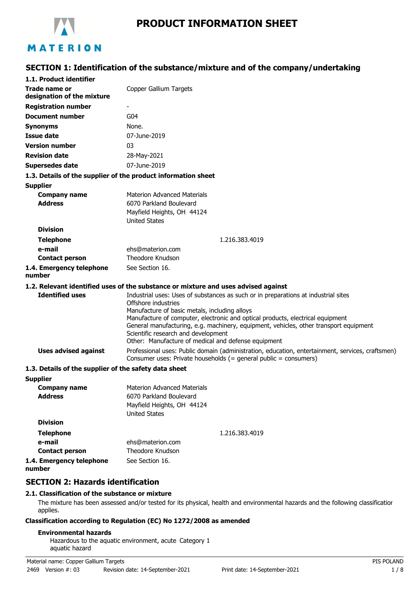

# **PRODUCT INFORMATION SHEET**

### **SECTION 1: Identification of the substance/mixture and of the company/undertaking**

| 1.1. Product identifier                               |                                                                                                                                                                                                                                                                                                                                                                                                                                     |
|-------------------------------------------------------|-------------------------------------------------------------------------------------------------------------------------------------------------------------------------------------------------------------------------------------------------------------------------------------------------------------------------------------------------------------------------------------------------------------------------------------|
| Trade name or<br>designation of the mixture           | Copper Gallium Targets                                                                                                                                                                                                                                                                                                                                                                                                              |
| <b>Registration number</b>                            |                                                                                                                                                                                                                                                                                                                                                                                                                                     |
| Document number                                       | G <sub>04</sub>                                                                                                                                                                                                                                                                                                                                                                                                                     |
| <b>Synonyms</b>                                       | None.                                                                                                                                                                                                                                                                                                                                                                                                                               |
| <b>Issue date</b>                                     | 07-June-2019                                                                                                                                                                                                                                                                                                                                                                                                                        |
| <b>Version number</b>                                 | 03                                                                                                                                                                                                                                                                                                                                                                                                                                  |
| <b>Revision date</b>                                  | 28-May-2021                                                                                                                                                                                                                                                                                                                                                                                                                         |
| <b>Supersedes date</b>                                | 07-June-2019                                                                                                                                                                                                                                                                                                                                                                                                                        |
|                                                       | 1.3. Details of the supplier of the product information sheet                                                                                                                                                                                                                                                                                                                                                                       |
| <b>Supplier</b>                                       |                                                                                                                                                                                                                                                                                                                                                                                                                                     |
| <b>Company name</b>                                   | <b>Materion Advanced Materials</b>                                                                                                                                                                                                                                                                                                                                                                                                  |
| <b>Address</b>                                        | 6070 Parkland Boulevard                                                                                                                                                                                                                                                                                                                                                                                                             |
|                                                       | Mayfield Heights, OH 44124                                                                                                                                                                                                                                                                                                                                                                                                          |
| <b>Division</b>                                       | <b>United States</b>                                                                                                                                                                                                                                                                                                                                                                                                                |
|                                                       |                                                                                                                                                                                                                                                                                                                                                                                                                                     |
| <b>Telephone</b>                                      | 1.216.383.4019                                                                                                                                                                                                                                                                                                                                                                                                                      |
| e-mail                                                | ehs@materion.com<br>Theodore Knudson                                                                                                                                                                                                                                                                                                                                                                                                |
| <b>Contact person</b>                                 |                                                                                                                                                                                                                                                                                                                                                                                                                                     |
| 1.4. Emergency telephone<br>number                    | See Section 16.                                                                                                                                                                                                                                                                                                                                                                                                                     |
|                                                       | 1.2. Relevant identified uses of the substance or mixture and uses advised against                                                                                                                                                                                                                                                                                                                                                  |
| <b>Identified uses</b>                                | Industrial uses: Uses of substances as such or in preparations at industrial sites<br>Offshore industries<br>Manufacture of basic metals, including alloys<br>Manufacture of computer, electronic and optical products, electrical equipment<br>General manufacturing, e.g. machinery, equipment, vehicles, other transport equipment<br>Scientific research and development<br>Other: Manufacture of medical and defense equipment |
| <b>Uses advised against</b>                           | Professional uses: Public domain (administration, education, entertainment, services, craftsmen)<br>Consumer uses: Private households (= general public = consumers)                                                                                                                                                                                                                                                                |
| 1.3. Details of the supplier of the safety data sheet |                                                                                                                                                                                                                                                                                                                                                                                                                                     |
| <b>Supplier</b>                                       |                                                                                                                                                                                                                                                                                                                                                                                                                                     |
| <b>Company name</b><br><b>Address</b>                 | Materion Advanced Materials<br>6070 Parkland Boulevard<br>Mayfield Heights, OH 44124<br><b>United States</b>                                                                                                                                                                                                                                                                                                                        |
| <b>Division</b>                                       |                                                                                                                                                                                                                                                                                                                                                                                                                                     |
| <b>Telephone</b>                                      | 1.216.383.4019                                                                                                                                                                                                                                                                                                                                                                                                                      |
| e-mail                                                | ehs@materion.com                                                                                                                                                                                                                                                                                                                                                                                                                    |
| <b>Contact person</b>                                 | Theodore Knudson                                                                                                                                                                                                                                                                                                                                                                                                                    |
| 1.4. Emergency telephone                              | See Section 16.                                                                                                                                                                                                                                                                                                                                                                                                                     |

**number**

### **SECTION 2: Hazards identification**

#### **2.1. Classification of the substance or mixture**

The mixture has been assessed and/or tested for its physical, health and environmental hazards and the following classification applies.

#### **Classification according to Regulation (EC) No 1272/2008 as amended**

#### **Environmental hazards**

Hazardous to the aquatic environment, acute Category 1 aquatic hazard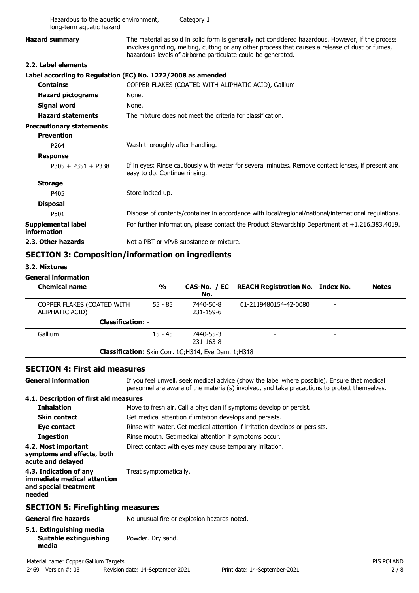| Hazardous to the aquatic environment,<br>long-term aquatic hazard |                                 | Category 1                                                 |                                                                                                                                                                                                                                                                       |              |
|-------------------------------------------------------------------|---------------------------------|------------------------------------------------------------|-----------------------------------------------------------------------------------------------------------------------------------------------------------------------------------------------------------------------------------------------------------------------|--------------|
| <b>Hazard summary</b>                                             |                                 |                                                            | The material as sold in solid form is generally not considered hazardous. However, if the process<br>involves grinding, melting, cutting or any other process that causes a release of dust or fumes,<br>hazardous levels of airborne particulate could be generated. |              |
| 2.2. Label elements                                               |                                 |                                                            |                                                                                                                                                                                                                                                                       |              |
| Label according to Regulation (EC) No. 1272/2008 as amended       |                                 |                                                            |                                                                                                                                                                                                                                                                       |              |
| <b>Contains:</b>                                                  |                                 |                                                            | COPPER FLAKES (COATED WITH ALIPHATIC ACID), Gallium                                                                                                                                                                                                                   |              |
| <b>Hazard pictograms</b>                                          | None.                           |                                                            |                                                                                                                                                                                                                                                                       |              |
| <b>Signal word</b>                                                | None.                           |                                                            |                                                                                                                                                                                                                                                                       |              |
| <b>Hazard statements</b>                                          |                                 | The mixture does not meet the criteria for classification. |                                                                                                                                                                                                                                                                       |              |
| <b>Precautionary statements</b><br><b>Prevention</b>              |                                 |                                                            |                                                                                                                                                                                                                                                                       |              |
| P264                                                              | Wash thoroughly after handling. |                                                            |                                                                                                                                                                                                                                                                       |              |
| <b>Response</b>                                                   |                                 |                                                            |                                                                                                                                                                                                                                                                       |              |
| $P305 + P351 + P338$                                              | easy to do. Continue rinsing.   |                                                            | If in eyes: Rinse cautiously with water for several minutes. Remove contact lenses, if present and                                                                                                                                                                    |              |
| <b>Storage</b>                                                    |                                 |                                                            |                                                                                                                                                                                                                                                                       |              |
| P405                                                              | Store locked up.                |                                                            |                                                                                                                                                                                                                                                                       |              |
| <b>Disposal</b>                                                   |                                 |                                                            |                                                                                                                                                                                                                                                                       |              |
| P501                                                              |                                 |                                                            | Dispose of contents/container in accordance with local/regional/national/international regulations.                                                                                                                                                                   |              |
| <b>Supplemental label</b><br>information                          |                                 |                                                            | For further information, please contact the Product Stewardship Department at +1.216.383.4019.                                                                                                                                                                        |              |
| 2.3. Other hazards                                                |                                 | Not a PBT or vPvB substance or mixture.                    |                                                                                                                                                                                                                                                                       |              |
| <b>SECTION 3: Composition/information on ingredients</b>          |                                 |                                                            |                                                                                                                                                                                                                                                                       |              |
| 3.2. Mixtures                                                     |                                 |                                                            |                                                                                                                                                                                                                                                                       |              |
| <b>General information</b>                                        |                                 |                                                            |                                                                                                                                                                                                                                                                       |              |
| <b>Chemical name</b>                                              | $\frac{0}{0}$                   | CAS-No. / EC<br>No.                                        | <b>REACH Registration No. Index No.</b>                                                                                                                                                                                                                               | <b>Notes</b> |
| COPPER FLAKES (COATED WITH<br>ALIPHATIC ACID)                     | $55 - 85$                       | 7440-50-8<br>231-159-6                                     | 01-2119480154-42-0080                                                                                                                                                                                                                                                 |              |
|                                                                   | <b>Classification: -</b>        |                                                            |                                                                                                                                                                                                                                                                       |              |
| Gallium                                                           | $15 - 45$                       | 7440-55-3                                                  |                                                                                                                                                                                                                                                                       |              |

#### **SECTION 4: First aid measures**

**General information**

If you feel unwell, seek medical advice (show the label where possible). Ensure that medical personnel are aware of the material(s) involved, and take precautions to protect themselves.

## **4.1. Description of first aid measures**

| <b>Inhalation</b>                                                                        | Move to fresh air. Call a physician if symptoms develop or persist.         |
|------------------------------------------------------------------------------------------|-----------------------------------------------------------------------------|
| Skin contact                                                                             | Get medical attention if irritation develops and persists.                  |
| Eye contact                                                                              | Rinse with water. Get medical attention if irritation develops or persists. |
| <b>Ingestion</b>                                                                         | Rinse mouth. Get medical attention if symptoms occur.                       |
| 4.2. Most important<br>symptoms and effects, both<br>acute and delayed                   | Direct contact with eyes may cause temporary irritation.                    |
| 4.3. Indication of any<br>immediate medical attention<br>and special treatment<br>needed | Treat symptomatically.                                                      |
| <b>SECTION 5: Firefighting measures</b>                                                  |                                                                             |
| <b>General fire hazards</b>                                                              | No unusual fire or explosion hazards noted.                                 |
| 5.1. Extinguishing media                                                                 |                                                                             |

**Classification:** Skin Corr. 1C;H314, Eye Dam. 1;H318

-Gallium -7440-55-3

231-163-8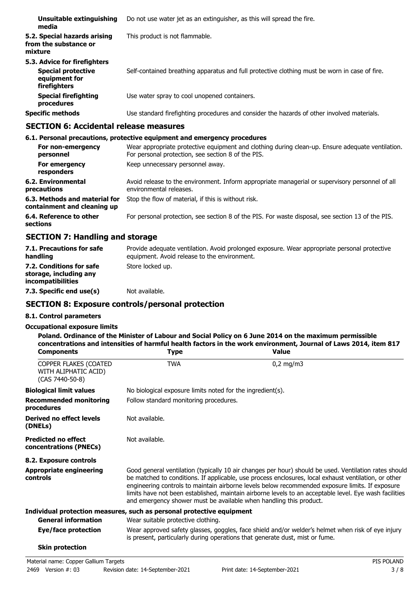| Unsuitable extinguishing<br>media                                                          | Do not use water jet as an extinguisher, as this will spread the fire.                        |
|--------------------------------------------------------------------------------------------|-----------------------------------------------------------------------------------------------|
| 5.2. Special hazards arising<br>from the substance or<br>mixture                           | This product is not flammable.                                                                |
| 5.3. Advice for firefighters<br><b>Special protective</b><br>equipment for<br>firefighters | Self-contained breathing apparatus and full protective clothing must be worn in case of fire. |
| <b>Special firefighting</b><br>procedures                                                  | Use water spray to cool unopened containers.                                                  |
| <b>Specific methods</b>                                                                    | Use standard firefighting procedures and consider the hazards of other involved materials.    |

### **SECTION 6: Accidental release measures**

#### **6.1. Personal precautions, protective equipment and emergency procedures** Wear appropriate protective equipment and clothing during clean-up. Ensure adequate ventilation. For personal protection, see section 8 of the PIS. **For non-emergency personnel For emergency** Keep unnecessary personnel away. **responders** Avoid release to the environment. Inform appropriate managerial or supervisory personnel of all environmental releases. **6.2. Environmental precautions 6.3. Methods and material for** Stop the flow of material, if this is without risk. **containment and cleaning up 6.4. Reference to other** For personal protection, see section 8 of the PIS. For waste disposal, see section 13 of the PIS. **sections**

### **SECTION 7: Handling and storage**

| 7.1. Precautions for safe<br>handling                                          | Provide adequate ventilation. Avoid prolonged exposure. Wear appropriate personal protective<br>equipment. Avoid release to the environment. |
|--------------------------------------------------------------------------------|----------------------------------------------------------------------------------------------------------------------------------------------|
| 7.2. Conditions for safe<br>storage, including any<br><i>incompatibilities</i> | Store locked up.                                                                                                                             |
| 7.3. Specific end use(s)                                                       | Not available.                                                                                                                               |

### **SECTION 8: Exposure controls/personal protection**

#### **8.1. Control parameters**

#### **Occupational exposure limits**

| <b>Components</b>                                                | Type                                                                  | concentrations and intensities of harmful health factors in the work environment, Journal of Laws 2014, item 817<br><b>Value</b>                                                                                                                                                                                                                                                                                           |
|------------------------------------------------------------------|-----------------------------------------------------------------------|----------------------------------------------------------------------------------------------------------------------------------------------------------------------------------------------------------------------------------------------------------------------------------------------------------------------------------------------------------------------------------------------------------------------------|
| COPPER FLAKES (COATED<br>WITH ALIPHATIC ACID)<br>(CAS 7440-50-8) | <b>TWA</b>                                                            | $0,2$ mg/m3                                                                                                                                                                                                                                                                                                                                                                                                                |
| Biological limit values                                          | No biological exposure limits noted for the ingredient(s).            |                                                                                                                                                                                                                                                                                                                                                                                                                            |
| <b>Recommended monitoring</b><br>procedures                      | Follow standard monitoring procedures.                                |                                                                                                                                                                                                                                                                                                                                                                                                                            |
| <b>Derived no effect levels</b><br>(DNELs)                       | Not available.                                                        |                                                                                                                                                                                                                                                                                                                                                                                                                            |
| <b>Predicted no effect</b><br>concentrations (PNECs)             | Not available.                                                        |                                                                                                                                                                                                                                                                                                                                                                                                                            |
| 8.2. Exposure controls                                           |                                                                       |                                                                                                                                                                                                                                                                                                                                                                                                                            |
| <b>Appropriate engineering</b><br>controls                       | and emergency shower must be available when handling this product.    | Good general ventilation (typically 10 air changes per hour) should be used. Ventilation rates should<br>be matched to conditions. If applicable, use process enclosures, local exhaust ventilation, or other<br>engineering controls to maintain airborne levels below recommended exposure limits. If exposure<br>limits have not been established, maintain airborne levels to an acceptable level. Eye wash facilities |
|                                                                  | Individual protection measures, such as personal protective equipment |                                                                                                                                                                                                                                                                                                                                                                                                                            |
| <b>General information</b>                                       | Wear suitable protective clothing.                                    |                                                                                                                                                                                                                                                                                                                                                                                                                            |
| Eye/face protection                                              |                                                                       | Wear approved safety glasses, goggles, face shield and/or welder's helmet when risk of eye injury<br>is present, particularly during operations that generate dust, mist or fume.                                                                                                                                                                                                                                          |
| <b>Skin protection</b>                                           |                                                                       |                                                                                                                                                                                                                                                                                                                                                                                                                            |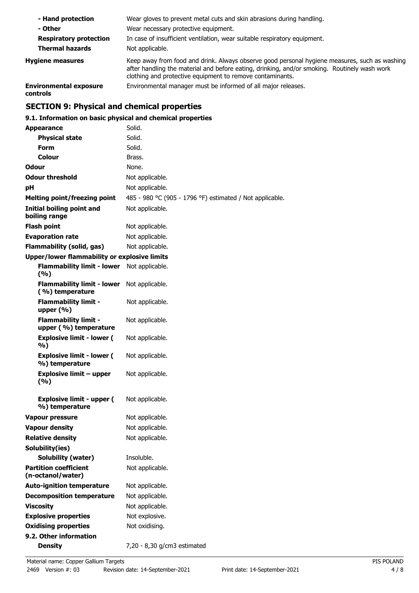| - Hand protection                         | Wear gloves to prevent metal cuts and skin abrasions during handling.                                                                                                                                                                                      |
|-------------------------------------------|------------------------------------------------------------------------------------------------------------------------------------------------------------------------------------------------------------------------------------------------------------|
| - Other                                   | Wear necessary protective equipment.                                                                                                                                                                                                                       |
| <b>Respiratory protection</b>             | In case of insufficient ventilation, wear suitable respiratory equipment.                                                                                                                                                                                  |
| <b>Thermal hazards</b>                    | Not applicable.                                                                                                                                                                                                                                            |
| <b>Hygiene measures</b>                   | Keep away from food and drink. Always observe good personal hygiene measures, such as washing<br>after handling the material and before eating, drinking, and/or smoking. Routinely wash work<br>clothing and protective equipment to remove contaminants. |
| <b>Environmental exposure</b><br>controls | Environmental manager must be informed of all major releases.                                                                                                                                                                                              |

# **SECTION 9: Physical and chemical properties**

### **9.1. Information on basic physical and chemical properties**

| <b>Appearance</b>                                    | Solid.                                                   |
|------------------------------------------------------|----------------------------------------------------------|
| <b>Physical state</b>                                | Solid.                                                   |
| <b>Form</b>                                          | Solid.                                                   |
| Colour                                               | Brass.                                                   |
| Odour                                                | None.                                                    |
| <b>Odour threshold</b>                               | Not applicable.                                          |
| рH                                                   | Not applicable.                                          |
| <b>Melting point/freezing point</b>                  | 485 - 980 °C (905 - 1796 °F) estimated / Not applicable. |
| <b>Initial boiling point and</b><br>boiling range    | Not applicable.                                          |
| <b>Flash point</b>                                   | Not applicable.                                          |
| <b>Evaporation rate</b>                              | Not applicable.                                          |
| <b>Flammability (solid, gas)</b>                     | Not applicable.                                          |
| <b>Upper/lower flammability or explosive limits</b>  |                                                          |
| <b>Flammability limit - lower</b><br>(%)             | Not applicable.                                          |
| <b>Flammability limit - lower</b><br>(%) temperature | Not applicable.                                          |
| <b>Flammability limit -</b><br>upper $(\% )$         | Not applicable.                                          |
| <b>Flammability limit -</b><br>upper (%) temperature | Not applicable.                                          |
| <b>Explosive limit - lower (</b><br>%)               | Not applicable.                                          |
| <b>Explosive limit - lower (</b><br>%) temperature   | Not applicable.                                          |
| <b>Explosive limit - upper</b><br>(%)                | Not applicable.                                          |
| <b>Explosive limit - upper (</b><br>%) temperature   | Not applicable.                                          |
| Vapour pressure                                      | Not applicable.                                          |
| <b>Vapour density</b>                                | Not applicable.                                          |
| <b>Relative density</b>                              | Not applicable.                                          |
| Solubility(ies)                                      |                                                          |
| <b>Solubility (water)</b>                            | Insoluble.                                               |
| <b>Partition coefficient</b><br>(n-octanol/water)    | Not applicable.                                          |
| <b>Auto-ignition temperature</b>                     | Not applicable.                                          |
| <b>Decomposition temperature</b>                     | Not applicable.                                          |
| <b>Viscosity</b>                                     | Not applicable.                                          |
| <b>Explosive properties</b>                          | Not explosive.                                           |
| <b>Oxidising properties</b>                          | Not oxidising.                                           |
| 9.2. Other information                               |                                                          |
| <b>Density</b>                                       | 7,20 - 8,30 g/cm3 estimated                              |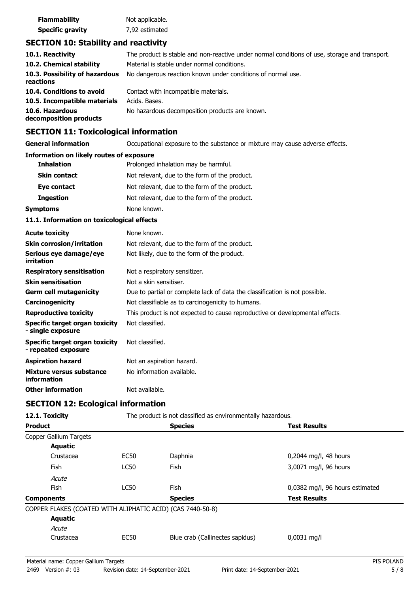| <b>Flammability</b>     | Not applicable. |
|-------------------------|-----------------|
| <b>Specific gravity</b> | 7,92 estimated  |

### **SECTION 10: Stability and reactivity**

| 10.1. Reactivity                            | The product is stable and non-reactive under normal conditions of use, storage and transport. |
|---------------------------------------------|-----------------------------------------------------------------------------------------------|
| 10.2. Chemical stability                    | Material is stable under normal conditions.                                                   |
| 10.3. Possibility of hazardous<br>reactions | No dangerous reaction known under conditions of normal use.                                   |
| 10.4. Conditions to avoid                   | Contact with incompatible materials.                                                          |
| 10.5. Incompatible materials                | Acids. Bases.                                                                                 |
| 10.6. Hazardous<br>decomposition products   | No hazardous decomposition products are known.                                                |

## **SECTION 11: Toxicological information**

**General information CCCUPATION** Occupational exposure to the substance or mixture may cause adverse effects.

#### **Information on likely routes of exposure**

| <b>Inhalation</b>   | Prolonged inhalation may be harmful.          |  |
|---------------------|-----------------------------------------------|--|
| <b>Skin contact</b> | Not relevant, due to the form of the product. |  |
| Eye contact         | Not relevant, due to the form of the product. |  |
| <b>Ingestion</b>    | Not relevant, due to the form of the product. |  |
| Symptoms            | None known.                                   |  |

#### **11.1. Information on toxicological effects**

| <b>Acute toxicity</b>                                 | None known.                                                                  |
|-------------------------------------------------------|------------------------------------------------------------------------------|
| <b>Skin corrosion/irritation</b>                      | Not relevant, due to the form of the product.                                |
| Serious eye damage/eye<br>irritation                  | Not likely, due to the form of the product.                                  |
| <b>Respiratory sensitisation</b>                      | Not a respiratory sensitizer.                                                |
| <b>Skin sensitisation</b>                             | Not a skin sensitiser.                                                       |
| <b>Germ cell mutagenicity</b>                         | Due to partial or complete lack of data the classification is not possible.  |
| Carcinogenicity                                       | Not classifiable as to carcinogenicity to humans.                            |
| <b>Reproductive toxicity</b>                          | This product is not expected to cause reproductive or developmental effects. |
| Specific target organ toxicity<br>- single exposure   | Not classified.                                                              |
| Specific target organ toxicity<br>- repeated exposure | Not classified.                                                              |
| <b>Aspiration hazard</b>                              | Not an aspiration hazard.                                                    |
| Mixture versus substance<br>information               | No information available.                                                    |
| <b>Other information</b>                              | Not available.                                                               |

### **SECTION 12: Ecological information**

| 12.1. Toxicity                                             | The product is not classified as environmentally hazardous. |                                 |                                 |
|------------------------------------------------------------|-------------------------------------------------------------|---------------------------------|---------------------------------|
| <b>Product</b>                                             |                                                             | <b>Species</b>                  | <b>Test Results</b>             |
| Copper Gallium Targets                                     |                                                             |                                 |                                 |
| <b>Aquatic</b>                                             |                                                             |                                 |                                 |
| Crustacea                                                  | <b>EC50</b>                                                 | Daphnia                         | 0,2044 mg/l, 48 hours           |
| <b>Fish</b>                                                | <b>LC50</b>                                                 | <b>Fish</b>                     | 3,0071 mg/l, 96 hours           |
| Acute                                                      |                                                             |                                 |                                 |
| Fish                                                       | <b>LC50</b>                                                 | <b>Fish</b>                     | 0,0382 mg/l, 96 hours estimated |
| <b>Components</b>                                          |                                                             | <b>Species</b>                  | <b>Test Results</b>             |
| COPPER FLAKES (COATED WITH ALIPHATIC ACID) (CAS 7440-50-8) |                                                             |                                 |                                 |
| <b>Aquatic</b>                                             |                                                             |                                 |                                 |
| Acute                                                      |                                                             |                                 |                                 |
| Crustacea                                                  | EC50                                                        | Blue crab (Callinectes sapidus) | $0,0031$ mg/l                   |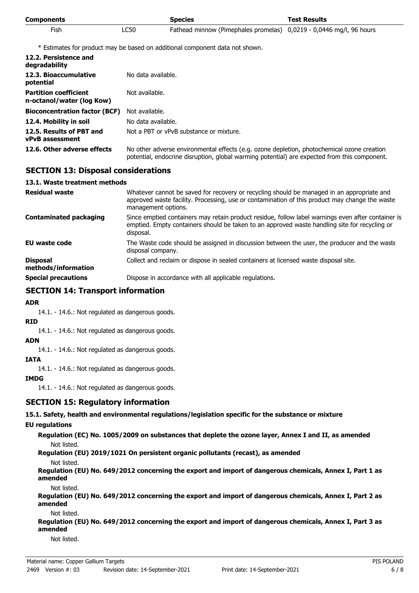| <b>Components</b> |      | <b>Species</b>                                                      | <b>Test Results</b> |
|-------------------|------|---------------------------------------------------------------------|---------------------|
| <b>Fish</b>       | LC50 | Fathead minnow (Pimephales promelas) 0,0219 - 0,0446 mg/l, 96 hours |                     |

\* Estimates for product may be based on additional component data not shown.

| 12.2. Persistence and<br>degradability                    |                                                                                                                                                                                            |
|-----------------------------------------------------------|--------------------------------------------------------------------------------------------------------------------------------------------------------------------------------------------|
| 12.3. Bioaccumulative<br>potential                        | No data available.                                                                                                                                                                         |
| <b>Partition coefficient</b><br>n-octanol/water (log Kow) | Not available.                                                                                                                                                                             |
| <b>Bioconcentration factor (BCF)</b>                      | Not available.                                                                                                                                                                             |
| 12.4. Mobility in soil                                    | No data available.                                                                                                                                                                         |
| 12.5. Results of PBT and<br><b>vPvB</b> assessment        | Not a PBT or vPvB substance or mixture.                                                                                                                                                    |
| 12.6. Other adverse effects                               | No other adverse environmental effects (e.g. ozone depletion, photochemical ozone creation<br>potential, endocrine disruption, global warming potential) are expected from this component. |

### **SECTION 13: Disposal considerations**

#### **13.1. Waste treatment methods**

| <b>Residual waste</b>                  | Whatever cannot be saved for recovery or recycling should be managed in an appropriate and<br>approved waste facility. Processing, use or contamination of this product may change the waste<br>management options. |
|----------------------------------------|---------------------------------------------------------------------------------------------------------------------------------------------------------------------------------------------------------------------|
| <b>Contaminated packaging</b>          | Since emptied containers may retain product residue, follow label warnings even after container is<br>emptied. Empty containers should be taken to an approved waste handling site for recycling or<br>disposal.    |
| EU waste code                          | The Waste code should be assigned in discussion between the user, the producer and the waste<br>disposal company.                                                                                                   |
| <b>Disposal</b><br>methods/information | Collect and reclaim or dispose in sealed containers at licensed waste disposal site.                                                                                                                                |
| <b>Special precautions</b>             | Dispose in accordance with all applicable regulations.                                                                                                                                                              |

### **SECTION 14: Transport information**

#### **ADR**

14.1. - 14.6.: Not regulated as dangerous goods.

#### **RID**

14.1. - 14.6.: Not regulated as dangerous goods.

#### **ADN**

14.1. - 14.6.: Not regulated as dangerous goods.

#### **IATA**

14.1. - 14.6.: Not regulated as dangerous goods.

#### **IMDG**

14.1. - 14.6.: Not regulated as dangerous goods.

### **SECTION 15: Regulatory information**

#### **15.1. Safety, health and environmental regulations/legislation specific for the substance or mixture**

### **EU regulations**

**Regulation (EC) No. 1005/2009 on substances that deplete the ozone layer, Annex I and II, as amended** Not listed.

**Regulation (EU) 2019/1021 On persistent organic pollutants (recast), as amended**

Not listed.

**Regulation (EU) No. 649/2012 concerning the export and import of dangerous chemicals, Annex I, Part 1 as amended**

Not listed.

**Regulation (EU) No. 649/2012 concerning the export and import of dangerous chemicals, Annex I, Part 2 as amended**

Not listed.

**Regulation (EU) No. 649/2012 concerning the export and import of dangerous chemicals, Annex I, Part 3 as amended**

Not listed.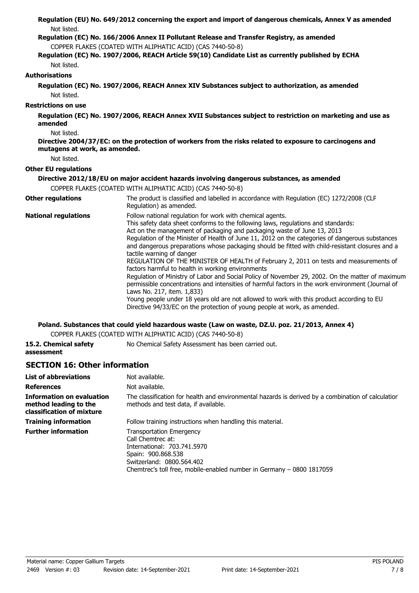|                                              | Regulation (EU) No. 649/2012 concerning the export and import of dangerous chemicals, Annex V as amended                                                                                                                                                                                                                                                                                                                                                                                                                                                                                                                                                                                                                                                                                                                                                                                                                                                                                                                    |
|----------------------------------------------|-----------------------------------------------------------------------------------------------------------------------------------------------------------------------------------------------------------------------------------------------------------------------------------------------------------------------------------------------------------------------------------------------------------------------------------------------------------------------------------------------------------------------------------------------------------------------------------------------------------------------------------------------------------------------------------------------------------------------------------------------------------------------------------------------------------------------------------------------------------------------------------------------------------------------------------------------------------------------------------------------------------------------------|
| Not listed.                                  | Regulation (EC) No. 166/2006 Annex II Pollutant Release and Transfer Registry, as amended                                                                                                                                                                                                                                                                                                                                                                                                                                                                                                                                                                                                                                                                                                                                                                                                                                                                                                                                   |
|                                              | COPPER FLAKES (COATED WITH ALIPHATIC ACID) (CAS 7440-50-8)                                                                                                                                                                                                                                                                                                                                                                                                                                                                                                                                                                                                                                                                                                                                                                                                                                                                                                                                                                  |
|                                              | Regulation (EC) No. 1907/2006, REACH Article 59(10) Candidate List as currently published by ECHA                                                                                                                                                                                                                                                                                                                                                                                                                                                                                                                                                                                                                                                                                                                                                                                                                                                                                                                           |
| Not listed.                                  |                                                                                                                                                                                                                                                                                                                                                                                                                                                                                                                                                                                                                                                                                                                                                                                                                                                                                                                                                                                                                             |
| <b>Authorisations</b>                        |                                                                                                                                                                                                                                                                                                                                                                                                                                                                                                                                                                                                                                                                                                                                                                                                                                                                                                                                                                                                                             |
| Not listed.                                  | Regulation (EC) No. 1907/2006, REACH Annex XIV Substances subject to authorization, as amended                                                                                                                                                                                                                                                                                                                                                                                                                                                                                                                                                                                                                                                                                                                                                                                                                                                                                                                              |
| <b>Restrictions on use</b>                   |                                                                                                                                                                                                                                                                                                                                                                                                                                                                                                                                                                                                                                                                                                                                                                                                                                                                                                                                                                                                                             |
| amended                                      | Regulation (EC) No. 1907/2006, REACH Annex XVII Substances subject to restriction on marketing and use as                                                                                                                                                                                                                                                                                                                                                                                                                                                                                                                                                                                                                                                                                                                                                                                                                                                                                                                   |
| Not listed.<br>mutagens at work, as amended. | Directive 2004/37/EC: on the protection of workers from the risks related to exposure to carcinogens and                                                                                                                                                                                                                                                                                                                                                                                                                                                                                                                                                                                                                                                                                                                                                                                                                                                                                                                    |
| Not listed.                                  |                                                                                                                                                                                                                                                                                                                                                                                                                                                                                                                                                                                                                                                                                                                                                                                                                                                                                                                                                                                                                             |
| <b>Other EU regulations</b>                  |                                                                                                                                                                                                                                                                                                                                                                                                                                                                                                                                                                                                                                                                                                                                                                                                                                                                                                                                                                                                                             |
|                                              | Directive 2012/18/EU on major accident hazards involving dangerous substances, as amended                                                                                                                                                                                                                                                                                                                                                                                                                                                                                                                                                                                                                                                                                                                                                                                                                                                                                                                                   |
|                                              | COPPER FLAKES (COATED WITH ALIPHATIC ACID) (CAS 7440-50-8)                                                                                                                                                                                                                                                                                                                                                                                                                                                                                                                                                                                                                                                                                                                                                                                                                                                                                                                                                                  |
| <b>Other regulations</b>                     | The product is classified and labelled in accordance with Regulation (EC) 1272/2008 (CLP<br>Regulation) as amended.                                                                                                                                                                                                                                                                                                                                                                                                                                                                                                                                                                                                                                                                                                                                                                                                                                                                                                         |
| <b>National regulations</b>                  | Follow national regulation for work with chemical agents.<br>This safety data sheet conforms to the following laws, regulations and standards:<br>Act on the management of packaging and packaging waste of June 13, 2013<br>Regulation of the Minister of Health of June 11, 2012 on the categories of dangerous substances<br>and dangerous preparations whose packaging should be fitted with child-resistant closures and a<br>tactile warning of danger<br>REGULATION OF THE MINISTER OF HEALTH of February 2, 2011 on tests and measurements of<br>factors harmful to health in working environments<br>Regulation of Ministry of Labor and Social Policy of November 29, 2002. On the matter of maximum<br>permissible concentrations and intensities of harmful factors in the work environment (Journal of<br>Laws No. 217, item. 1,833)<br>Young people under 18 years old are not allowed to work with this product according to EU<br>Directive 94/33/EC on the protection of young people at work, as amended. |

### **Poland. Substances that could yield hazardous waste (Law on waste, DZ.U. poz. 21/2013, Annex 4)**

COPPER FLAKES (COATED WITH ALIPHATIC ACID) (CAS 7440-50-8)

| 15.2. Chemical safety | No Chemical Safety Assessment has been carried out. |
|-----------------------|-----------------------------------------------------|
| assessment            |                                                     |

## **SECTION 16: Other information**

| <b>List of abbreviations</b>                                                           | Not available.                                                                                                                                                                                                  |
|----------------------------------------------------------------------------------------|-----------------------------------------------------------------------------------------------------------------------------------------------------------------------------------------------------------------|
| <b>References</b>                                                                      | Not available.                                                                                                                                                                                                  |
| <b>Information on evaluation</b><br>method leading to the<br>classification of mixture | The classification for health and environmental hazards is derived by a combination of calculatior<br>methods and test data, if available.                                                                      |
| <b>Training information</b>                                                            | Follow training instructions when handling this material.                                                                                                                                                       |
| <b>Further information</b>                                                             | <b>Transportation Emergency</b><br>Call Chemtrec at:<br>International: 703.741.5970<br>Spain: 900.868.538<br>Switzerland: 0800.564.402<br>Chemtrec's toll free, mobile-enabled number in Germany – 0800 1817059 |